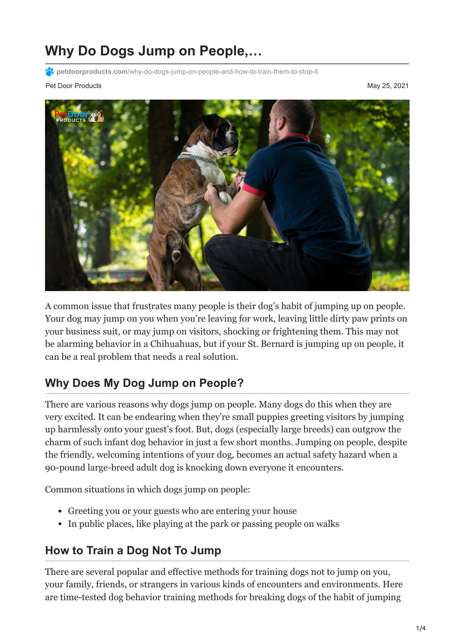# **Why Do Dogs Jump on People,…**

**PC** petdoorproducts.com[/why-do-dogs-jump-on-people-and-how-to-train-them-to-stop-it](https://petdoorproducts.com/why-do-dogs-jump-on-people-and-how-to-train-them-to-stop-it/)

Pet Door Products May 25, 2021



A common issue that frustrates many people is their dog's habit of jumping up on people. Your dog may jump on you when you're leaving for work, leaving little dirty paw prints on your business suit, or may jump on visitors, shocking or frightening them. This may not be alarming behavior in a Chihuahuas, but if your St. Bernard is jumping up on people, it can be a real problem that needs a real solution.

### **Why Does My Dog Jump on People?**

There are various reasons why dogs jump on people. Many dogs do this when they are very excited. It can be endearing when they're small puppies greeting visitors by jumping up harmlessly onto your guest's foot. But, dogs (especially large breeds) can outgrow the charm of such infant dog behavior in just a few short months. Jumping on people, despite the friendly, welcoming intentions of your dog, becomes an actual safety hazard when a 90-pound large-breed adult dog is knocking down everyone it encounters.

Common situations in which dogs jump on people:

- Greeting you or your guests who are entering your house
- In public places, like playing at the park or passing people on walks

#### **How to Train a Dog Not To Jump**

There are several popular and effective methods for training dogs not to jump on you, your family, friends, or strangers in various kinds of encounters and environments. Here are time-tested dog behavior training methods for breaking dogs of the habit of jumping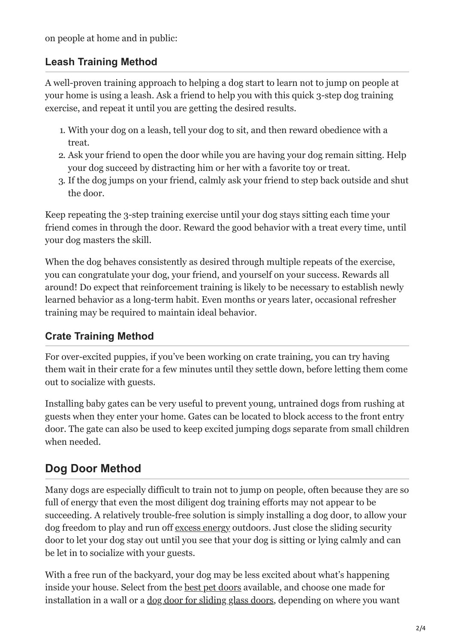on people at home and in public:

#### **Leash Training Method**

A well-proven training approach to helping a dog start to learn not to jump on people at your home is using a leash. Ask a friend to help you with this quick 3-step dog training exercise, and repeat it until you are getting the desired results.

- 1. With your dog on a leash, tell your dog to sit, and then reward obedience with a treat.
- 2. Ask your friend to open the door while you are having your dog remain sitting. Help your dog succeed by distracting him or her with a favorite toy or treat.
- 3. If the dog jumps on your friend, calmly ask your friend to step back outside and shut the door.

Keep repeating the 3-step training exercise until your dog stays sitting each time your friend comes in through the door. Reward the good behavior with a treat every time, until your dog masters the skill.

When the dog behaves consistently as desired through multiple repeats of the exercise, you can congratulate your dog, your friend, and yourself on your success. Rewards all around! Do expect that reinforcement training is likely to be necessary to establish newly learned behavior as a long-term habit. Even months or years later, occasional refresher training may be required to maintain ideal behavior.

#### **Crate Training Method**

For over-excited puppies, if you've been working on crate training, you can try having them wait in their crate for a few minutes until they settle down, before letting them come out to socialize with guests.

Installing baby gates can be very useful to prevent young, untrained dogs from rushing at guests when they enter your home. Gates can be located to block access to the front entry door. The gate can also be used to keep excited jumping dogs separate from small children when needed.

# **Dog Door Method**

Many dogs are especially difficult to train not to jump on people, often because they are so full of energy that even the most diligent dog training efforts may not appear to be succeeding. A relatively trouble-free solution is simply installing a dog door, to allow your dog freedom to play and run off [excess energy](https://petdoorproducts.com/6-ways-to-exercise-your-dogs-mind/) outdoors. Just close the sliding security door to let your dog stay out until you see that your dog is sitting or lying calmly and can be let in to socialize with your guests.

With a free run of the backyard, your dog may be less excited about what's happening inside your house. Select from the [best pet doors](https://petdoorproducts.com/how-it-works/) available, and choose one made for installation in a wall or a [dog door for sliding glass doors](https://petdoorproducts.com/sliding-glass-pet-door-options/), depending on where you want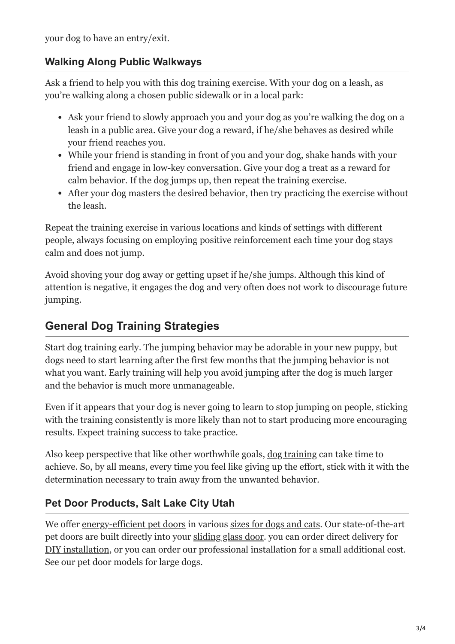your dog to have an entry/exit.

#### **Walking Along Public Walkways**

Ask a friend to help you with this dog training exercise. With your dog on a leash, as you're walking along a chosen public sidewalk or in a local park:

- Ask your friend to slowly approach you and your dog as you're walking the dog on a leash in a public area. Give your dog a reward, if he/she behaves as desired while your friend reaches you.
- While your friend is standing in front of you and your dog, shake hands with your friend and engage in low-key conversation. Give your dog a treat as a reward for calm behavior. If the dog jumps up, then repeat the training exercise.
- After your dog masters the desired behavior, then try practicing the exercise without the leash.

Repeat the training exercise in various locations and kinds of settings with different [people, always focusing on employing positive reinforcement each time your dog stays](https://petdoorproducts.com/how-to-keep-pets-calm-during-holiday-parties/) calm and does not jump.

Avoid shoving your dog away or getting upset if he/she jumps. Although this kind of attention is negative, it engages the dog and very often does not work to discourage future jumping.

## **General Dog Training Strategies**

Start dog training early. The jumping behavior may be adorable in your new puppy, but dogs need to start learning after the first few months that the jumping behavior is not what you want. Early training will help you avoid jumping after the dog is much larger and the behavior is much more unmanageable.

Even if it appears that your dog is never going to learn to stop jumping on people, sticking with the training consistently is more likely than not to start producing more encouraging results. Expect training success to take practice.

Also keep perspective that like other worthwhile goals, [dog training](https://petdoorproducts.com/brilliant-ways-to-end-bad-pet-behavior-as-soon-as-it-starts/) can take time to achieve. So, by all means, every time you feel like giving up the effort, stick with it with the determination necessary to train away from the unwanted behavior.

#### **Pet Door Products, Salt Lake City Utah**

We offer [energy-efficient pet doors](https://petdoorproducts.com/reviews/) in various [sizes for dogs and cats.](https://petdoorproducts.com/wp-content/uploads/2017/11/Measurement-Instructions-for-Pet-Door.pdf) Our state-of-the-art pet doors are built directly into your [sliding glass door](https://petdoorproducts.com/glass-options/). you can order direct delivery for [DIY installation](https://petdoorproducts.com/do-it-yourself/), or you can order our professional installation for a small additional cost. See our pet door models for [large dogs](https://petdoorproducts.com/pet-doors-for-extra-large-dogs/).